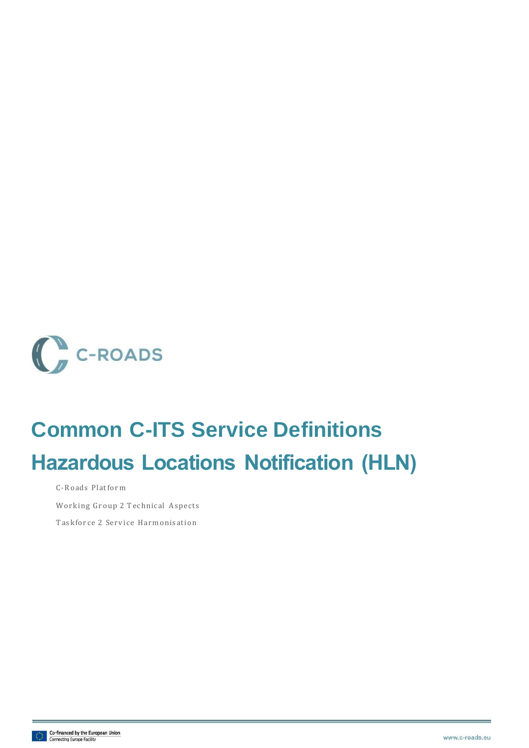

## **Common C-ITS Service Definitions Hazardous Locations Notification (HLN)**

C-Roads Platform

Working Group 2 Technical Aspects

Taskforce 2 Service Harmonisation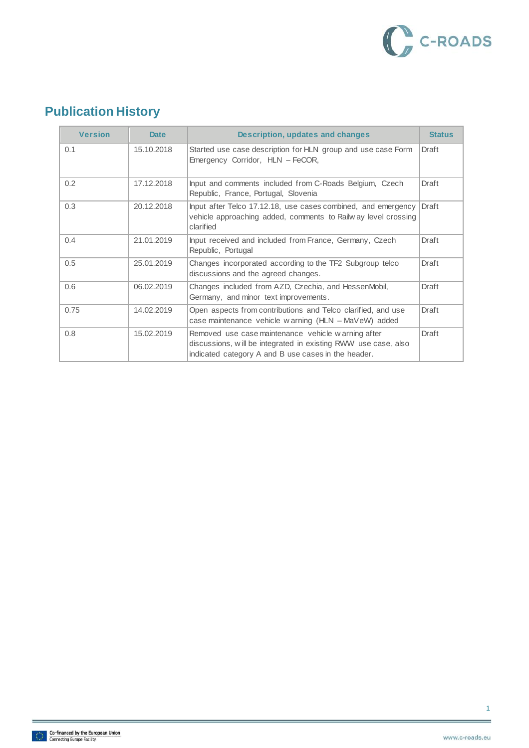

## **Publication History**

| <b>Version</b> | <b>Date</b> | Description, updates and changes                                                                                                                                            | <b>Status</b> |
|----------------|-------------|-----------------------------------------------------------------------------------------------------------------------------------------------------------------------------|---------------|
| 0.1            | 15.10.2018  | Started use case description for HLN group and use case Form<br>Emergency Corridor, HLN - FeCOR,                                                                            | Draft         |
| 0.2            | 17.12.2018  | Input and comments included from C-Roads Belgium, Czech<br>Republic, France, Portugal, Slovenia                                                                             | Draft         |
| 0.3            | 20.12.2018  | Input after Telco 17.12.18, use cases combined, and emergency<br>vehicle approaching added, comments to Railway level crossing<br>clarified                                 | Draft         |
| 0.4            | 21.01.2019  | Input received and included from France, Germany, Czech<br>Republic, Portugal                                                                                               | Draft         |
| 0.5            | 25.01.2019  | Changes incorporated according to the TF2 Subgroup telco<br>discussions and the agreed changes.                                                                             | Draft         |
| 0.6            | 06.02.2019  | Changes included from AZD, Czechia, and HessenMobil,<br>Germany, and minor text improvements.                                                                               | Draft         |
| 0.75           | 14.02.2019  | Open aspects from contributions and Telco clarified, and use<br>case maintenance vehicle warning (HLN - MaVeW) added                                                        | Draft         |
| 0.8            | 15.02.2019  | Removed use case maintenance vehicle warning after<br>discussions, will be integrated in existing RWW use case, also<br>indicated category A and B use cases in the header. | Draft         |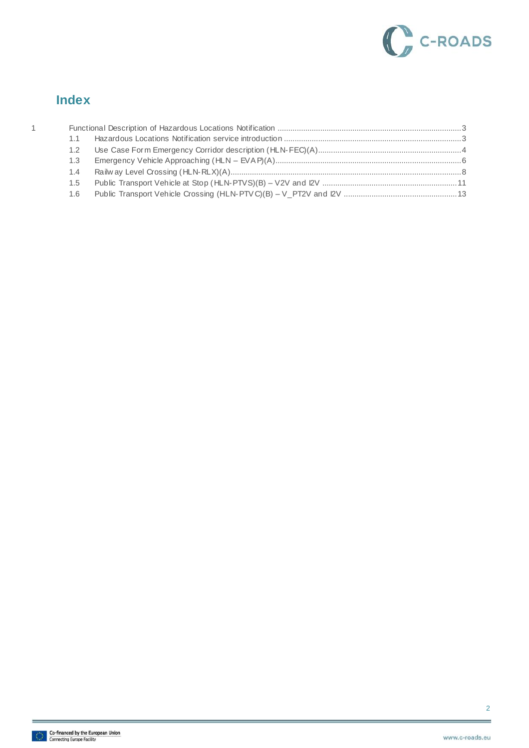

#### **Index**

| 1 |               |  |
|---|---------------|--|
|   | 1.1           |  |
|   | $1.2^{\circ}$ |  |
|   | 1.3           |  |
|   | 1.4           |  |
|   | $1.5^{\circ}$ |  |
|   | 1.6           |  |
|   |               |  |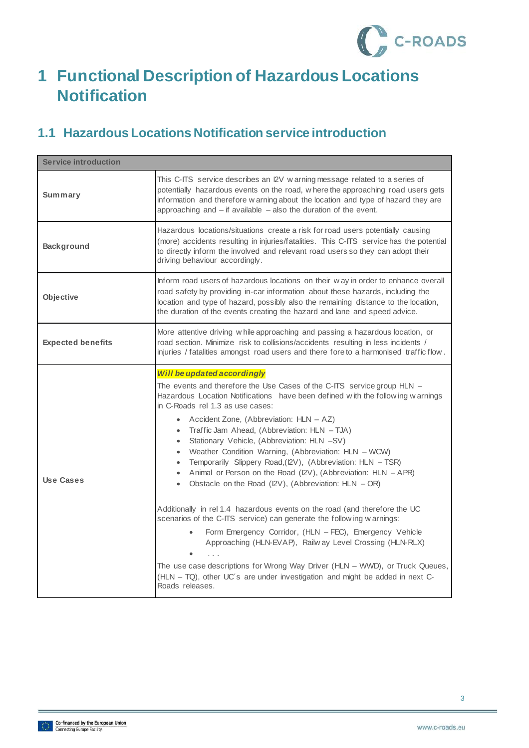

## <span id="page-3-0"></span>**1 Functional Description of Hazardous Locations Notification**

### <span id="page-3-1"></span>**1.1 Hazardous Locations Notification service introduction**

| <b>Service introduction</b> |                                                                                                                                                                                                                                                                                                                                                                                                                                                                                                                                                                                                                                                                                                                                                                                                                                                                                                                                                                                                                                                                                                                                                                            |
|-----------------------------|----------------------------------------------------------------------------------------------------------------------------------------------------------------------------------------------------------------------------------------------------------------------------------------------------------------------------------------------------------------------------------------------------------------------------------------------------------------------------------------------------------------------------------------------------------------------------------------------------------------------------------------------------------------------------------------------------------------------------------------------------------------------------------------------------------------------------------------------------------------------------------------------------------------------------------------------------------------------------------------------------------------------------------------------------------------------------------------------------------------------------------------------------------------------------|
| Summary                     | This C-ITS service describes an I2V w arning message related to a series of<br>potentially hazardous events on the road, where the approaching road users gets<br>information and therefore w arning about the location and type of hazard they are<br>approaching and $-$ if available $-$ also the duration of the event.                                                                                                                                                                                                                                                                                                                                                                                                                                                                                                                                                                                                                                                                                                                                                                                                                                                |
| <b>Background</b>           | Hazardous locations/situations create a risk for road users potentially causing<br>(more) accidents resulting in injuries/fatalities. This C-ITS service has the potential<br>to directly inform the involved and relevant road users so they can adopt their<br>driving behaviour accordingly.                                                                                                                                                                                                                                                                                                                                                                                                                                                                                                                                                                                                                                                                                                                                                                                                                                                                            |
| Objective                   | Inform road users of hazardous locations on their way in order to enhance overall<br>road safety by providing in-car information about these hazards, including the<br>location and type of hazard, possibly also the remaining distance to the location,<br>the duration of the events creating the hazard and lane and speed advice.                                                                                                                                                                                                                                                                                                                                                                                                                                                                                                                                                                                                                                                                                                                                                                                                                                     |
| <b>Expected benefits</b>    | More attentive driving while approaching and passing a hazardous location, or<br>road section. Minimize risk to collisions/accidents resulting in less incidents /<br>injuries / fatalities amongst road users and there fore to a harmonised traffic flow.                                                                                                                                                                                                                                                                                                                                                                                                                                                                                                                                                                                                                                                                                                                                                                                                                                                                                                                |
| Use Cases                   | Will be updated accordingly<br>The events and therefore the Use Cases of the C-ITS service group HLN –<br>Hazardous Location Notifications have been defined with the following warnings<br>in C-Roads rel 1.3 as use cases:<br>Accident Zone, (Abbreviation: HLN – AZ)<br>$\bullet$<br>Traffic Jam Ahead, (Abbreviation: HLN - TJA)<br>$\bullet$<br>Stationary Vehicle, (Abbreviation: HLN -SV)<br>$\bullet$<br>• Weather Condition Warning, (Abbreviation: HLN - WCW)<br>Temporarily Slippery Road, (I2V), (Abbreviation: HLN - TSR)<br>$\bullet$<br>Animal or Person on the Road (I2V), (Abbreviation: HLN - APR)<br>$\bullet$<br>Obstacle on the Road (I2V), (Abbreviation: $HLN - OR$ )<br>$\bullet$<br>Additionally in rel 1.4 hazardous events on the road (and therefore the UC<br>scenarios of the C-ITS service) can generate the following warnings:<br>Form Emergency Corridor, (HLN - FEC), Emergency Vehicle<br>Approaching (HLN-EVAP), Railw ay Level Crossing (HLN-RLX)<br>The use case descriptions for Wrong Way Driver (HLN - WWD), or Truck Queues,<br>(HLN - TQ), other UC's are under investigation and might be added in next C-<br>Roads releases. |

3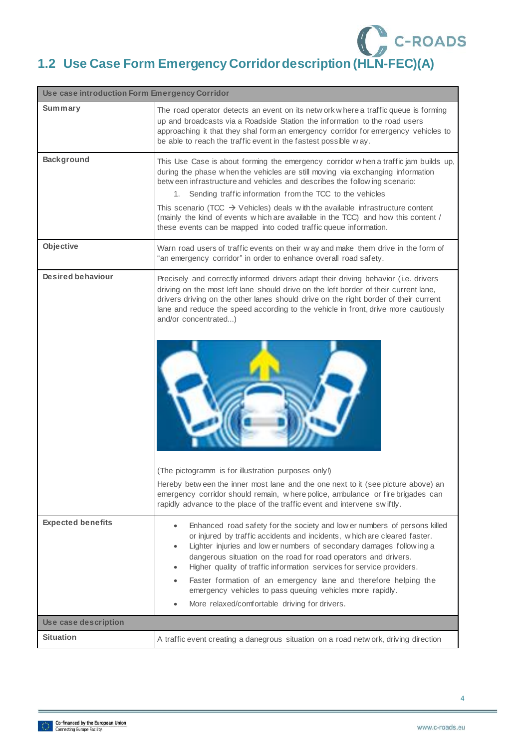## C C-ROADS **1.2 Use Case Form Emergency Corridordescription (HLN-FEC)(A)**

<span id="page-4-0"></span>

| Use case introduction Form Emergency Corridor |                                                                                                                                                                                                                                                                                                                                                                                                                                                                                                                                                                                                                                                                                             |  |
|-----------------------------------------------|---------------------------------------------------------------------------------------------------------------------------------------------------------------------------------------------------------------------------------------------------------------------------------------------------------------------------------------------------------------------------------------------------------------------------------------------------------------------------------------------------------------------------------------------------------------------------------------------------------------------------------------------------------------------------------------------|--|
| Summary                                       | The road operator detects an event on its netw ork w here a traffic queue is forming<br>up and broadcasts via a Roadside Station the information to the road users<br>approaching it that they shal form an emergency corridor for emergency vehicles to<br>be able to reach the traffic event in the fastest possible way.                                                                                                                                                                                                                                                                                                                                                                 |  |
| <b>Background</b>                             | This Use Case is about forming the emergency corridor w hen a traffic jam builds up,<br>during the phase w hen the vehicles are still moving via exchanging information<br>betw een infrastructure and vehicles and describes the following scenario:<br>Sending traffic information from the TCC to the vehicles<br>1.<br>This scenario (TCC $\rightarrow$ Vehicles) deals with the available infrastructure content<br>(mainly the kind of events w hich are available in the TCC) and how this content /<br>these events can be mapped into coded traffic queue information.                                                                                                             |  |
| Objective                                     | Warn road users of traffic events on their way and make them drive in the form of<br>"an emergency corridor" in order to enhance overall road safety.                                                                                                                                                                                                                                                                                                                                                                                                                                                                                                                                       |  |
| Desired behaviour                             | Precisely and correctly informed drivers adapt their driving behavior (i.e. drivers<br>driving on the most left lane should drive on the left border of their current lane,<br>drivers driving on the other lanes should drive on the right border of their current<br>lane and reduce the speed according to the vehicle in front, drive more cautiously<br>and/or concentrated)<br>(The pictogramm is for illustration purposes only!)<br>Hereby between the inner most lane and the one next to it (see picture above) an<br>emergency corridor should remain, w here police, ambulance or fire brigades can<br>rapidly advance to the place of the traffic event and intervene swiftly. |  |
| <b>Expected benefits</b>                      | Enhanced road safety for the society and low er numbers of persons killed<br>$\bullet$<br>or injured by traffic accidents and incidents, w hich are cleared faster.<br>Lighter injuries and low er numbers of secondary damages follow ing a<br>$\bullet$<br>dangerous situation on the road for road operators and drivers.<br>Higher quality of traffic information services for service providers.<br>$\bullet$<br>Faster formation of an emergency lane and therefore helping the<br>emergency vehicles to pass queuing vehicles more rapidly.<br>More relaxed/comfortable driving for drivers.<br>$\bullet$                                                                            |  |
| Use case description                          |                                                                                                                                                                                                                                                                                                                                                                                                                                                                                                                                                                                                                                                                                             |  |
| <b>Situation</b>                              | A traffic event creating a danegrous situation on a road network, driving direction                                                                                                                                                                                                                                                                                                                                                                                                                                                                                                                                                                                                         |  |

4

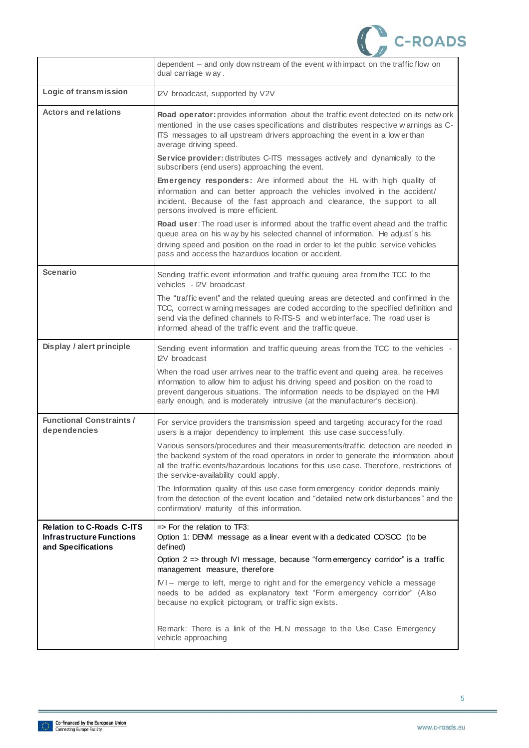

|                                                                                           | dependent – and only downstream of the event with impact on the traffic flow on<br>dual carriage way.                                                                                                                                                                                                                                  |
|-------------------------------------------------------------------------------------------|----------------------------------------------------------------------------------------------------------------------------------------------------------------------------------------------------------------------------------------------------------------------------------------------------------------------------------------|
| Logic of transmission                                                                     | I2V broadcast, supported by V2V                                                                                                                                                                                                                                                                                                        |
| <b>Actors and relations</b>                                                               | Road operator: provides information about the traffic event detected on its network<br>mentioned in the use cases specifications and distributes respective w arnings as C-<br>ITS messages to all upstream drivers approaching the event in a low er than<br>average driving speed.                                                   |
|                                                                                           | Service provider: distributes C-ITS messages actively and dynamically to the<br>subscribers (end users) approaching the event.                                                                                                                                                                                                         |
|                                                                                           | <b>Emergency responders:</b> Are informed about the HL with high quality of<br>information and can better approach the vehicles involved in the accident/<br>incident. Because of the fast approach and clearance, the support to all<br>persons involved is more efficient.                                                           |
|                                                                                           | Road user: The road user is informed about the traffic event ahead and the traffic<br>queue area on his w ay by his selected channel of information. He adjust's his<br>driving speed and position on the road in order to let the public service vehicles<br>pass and access the hazarduos location or accident.                      |
| <b>Scenario</b>                                                                           | Sending traffic event information and traffic queuing area from the TCC to the<br>vehicles - I2V broadcast                                                                                                                                                                                                                             |
|                                                                                           | The "traffic event" and the related queuing areas are detected and confirmed in the<br>TCC, correct w arning messages are coded according to the specified definition and<br>send via the defined channels to R-ITS-S and web interface. The road user is<br>informed ahead of the traffic event and the traffic queue.                |
| Display / alert principle                                                                 | Sending event information and traffic queuing areas from the TCC to the vehicles -<br>I2V broadcast                                                                                                                                                                                                                                    |
|                                                                                           | When the road user arrives near to the traffic event and queing area, he receives<br>information to allow him to adjust his driving speed and position on the road to<br>prevent dangerous situations. The information needs to be displayed on the HMI<br>early enough, and is moderately intrusive (at the manufacturer's decision). |
| <b>Functional Constraints/</b><br>dependencies                                            | For service providers the transmission speed and targeting accuracy for the road<br>users is a major dependency to implement this use case successfully.                                                                                                                                                                               |
|                                                                                           | Various sensors/procedures and their measurements/traffic detection are needed in<br>the backend system of the road operators in order to generate the information about<br>all the traffic events/hazardous locations for this use case. Therefore, restrictions of<br>the service-availability could apply.                          |
|                                                                                           | The Information quality of this use case form emergency coridor depends mainly<br>from the detection of the event location and "detailed network disturbances" and the<br>confirmation/ maturity of this information.                                                                                                                  |
| <b>Relation to C-Roads C-ITS</b><br><b>Infrastructure Functions</b><br>and Specifications | $\Rightarrow$ For the relation to TF3:<br>Option 1: DENM message as a linear event with a dedicated CC/SCC (to be<br>defined)                                                                                                                                                                                                          |
|                                                                                           | Option 2 => through IVI message, because "form emergency corridor" is a traffic<br>management measure, therefore                                                                                                                                                                                                                       |
|                                                                                           | IVI – merge to left, merge to right and for the emergency vehicle a message<br>needs to be added as explanatory text "Form emergency corridor" (Also<br>because no explicit pictogram, or traffic sign exists.                                                                                                                         |
|                                                                                           | Remark: There is a link of the HLN message to the Use Case Emergency<br>vehicle approaching                                                                                                                                                                                                                                            |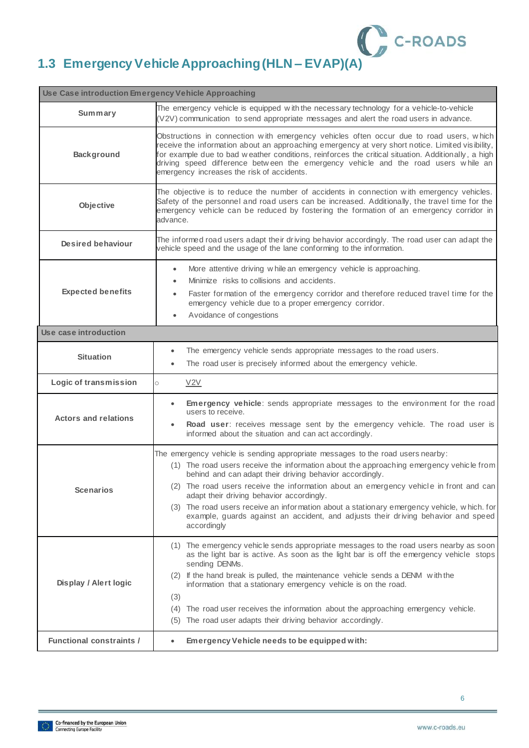

## <span id="page-6-0"></span>**1.3 Emergency Vehicle Approaching(HLN – EVAP)(A)**

| Use Case introduction Emergency Vehicle Approaching |                                                                                                                                                                                                                                                                                                                                                                                                                                                                                                                                                                                 |  |
|-----------------------------------------------------|---------------------------------------------------------------------------------------------------------------------------------------------------------------------------------------------------------------------------------------------------------------------------------------------------------------------------------------------------------------------------------------------------------------------------------------------------------------------------------------------------------------------------------------------------------------------------------|--|
| Summary                                             | The emergency vehicle is equipped with the necessary technology for a vehicle-to-vehicle<br>(V2V) communication to send appropriate messages and alert the road users in advance.                                                                                                                                                                                                                                                                                                                                                                                               |  |
| <b>Background</b>                                   | Obstructions in connection with emergency vehicles often occur due to road users, which<br>receive the information about an approaching emergency at very short notice. Limited visibility,<br>for example due to bad weather conditions, reinforces the critical situation. Additionally, a high<br>driving speed difference between the emergency vehicle and the road users while an<br>emergency increases the risk of accidents.                                                                                                                                           |  |
| Objective                                           | The objective is to reduce the number of accidents in connection with emergency vehicles.<br>Safety of the personnel and road users can be increased. Additionally, the travel time for the<br>emergency vehicle can be reduced by fostering the formation of an emergency corridor in<br>advance.                                                                                                                                                                                                                                                                              |  |
| Desired behaviour                                   | The informed road users adapt their driving behavior accordingly. The road user can adapt the<br>vehicle speed and the usage of the lane conforming to the information.                                                                                                                                                                                                                                                                                                                                                                                                         |  |
| <b>Expected benefits</b>                            | More attentive driving while an emergency vehicle is approaching.<br>$\bullet$<br>Minimize risks to collisions and accidents.<br>Faster formation of the emergency corridor and therefore reduced travel time for the<br>$\bullet$<br>emergency vehicle due to a proper emergency corridor.<br>Avoidance of congestions<br>$\bullet$                                                                                                                                                                                                                                            |  |
| Use case introduction                               |                                                                                                                                                                                                                                                                                                                                                                                                                                                                                                                                                                                 |  |
| <b>Situation</b>                                    | The emergency vehicle sends appropriate messages to the road users.<br>$\bullet$<br>The road user is precisely informed about the emergency vehicle.<br>$\bullet$                                                                                                                                                                                                                                                                                                                                                                                                               |  |
| Logic of transmission                               | V2V<br>$\circ$                                                                                                                                                                                                                                                                                                                                                                                                                                                                                                                                                                  |  |
| <b>Actors and relations</b>                         | Emergency vehicle: sends appropriate messages to the environment for the road<br>$\bullet$<br>users to receive.<br>Road user: receives message sent by the emergency vehicle. The road user is<br>informed about the situation and can act accordingly.                                                                                                                                                                                                                                                                                                                         |  |
| <b>Scenarios</b>                                    | The emergency vehicle is sending appropriate messages to the road users nearby:<br>(1) The road users receive the information about the approaching emergency vehicle from<br>behind and can adapt their driving behavior accordingly.<br>(2) The road users receive the information about an emergency vehicle in front and can<br>adapt their driving behavior accordingly.<br>(3) The road users receive an information about a stationary emergency vehicle, which. for<br>example, guards against an accident, and adjusts their driving behavior and speed<br>accordingly |  |
| Display / Alert logic                               | (1) The emergency vehicle sends appropriate messages to the road users nearby as soon<br>as the light bar is active. As soon as the light bar is off the emergency vehicle stops<br>sending DENMs.<br>(2) If the hand break is pulled, the maintenance vehicle sends a DENM with the<br>information that a stationary emergency vehicle is on the road.<br>(3)<br>(4) The road user receives the information about the approaching emergency vehicle.<br>(5) The road user adapts their driving behavior accordingly.                                                           |  |
| <b>Functional constraints /</b>                     | Emergency Vehicle needs to be equipped with:                                                                                                                                                                                                                                                                                                                                                                                                                                                                                                                                    |  |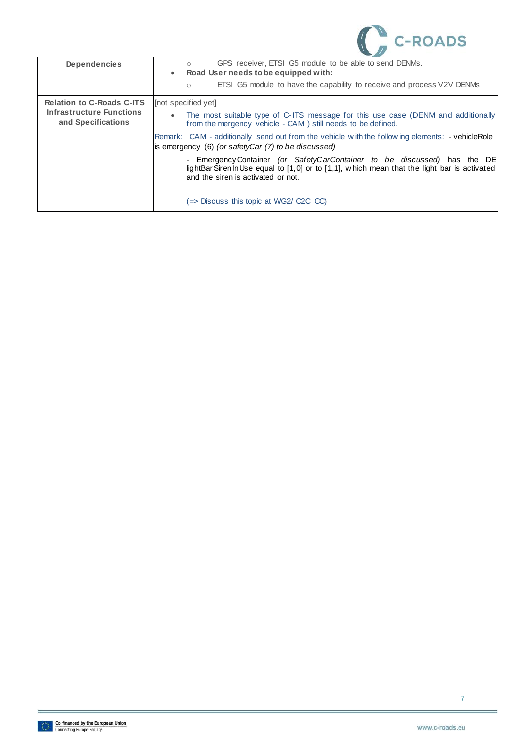

| <b>Dependencies</b>                                   | GPS receiver, ETSI G5 module to be able to send DENMs.<br>Road User needs to be equipped with:<br>$\bullet$                                                                                                   |
|-------------------------------------------------------|---------------------------------------------------------------------------------------------------------------------------------------------------------------------------------------------------------------|
|                                                       | ETSI G5 module to have the capability to receive and process V2V DENMs<br>$\circ$                                                                                                                             |
| <b>Relation to C-Roads C-ITS</b>                      | [not specified yet]                                                                                                                                                                                           |
| <b>Infrastructure Functions</b><br>and Specifications | The most suitable type of C-ITS message for this use case (DENM and additionally<br>from the mergency vehicle - CAM) still needs to be defined.                                                               |
|                                                       | Remark: CAM - additionally send out from the vehicle with the following elements: - vehicleRole<br>is emergency (6) (or safetyCar (7) to be discussed)                                                        |
|                                                       | - Emergency Container (or Safety Car Container to be discussed) has the DE<br>lightBarSirenInUse equal to [1,0] or to [1,1], which mean that the light bar is activated<br>and the siren is activated or not. |
|                                                       | (=> Discuss this topic at WG2/ C2C CC)                                                                                                                                                                        |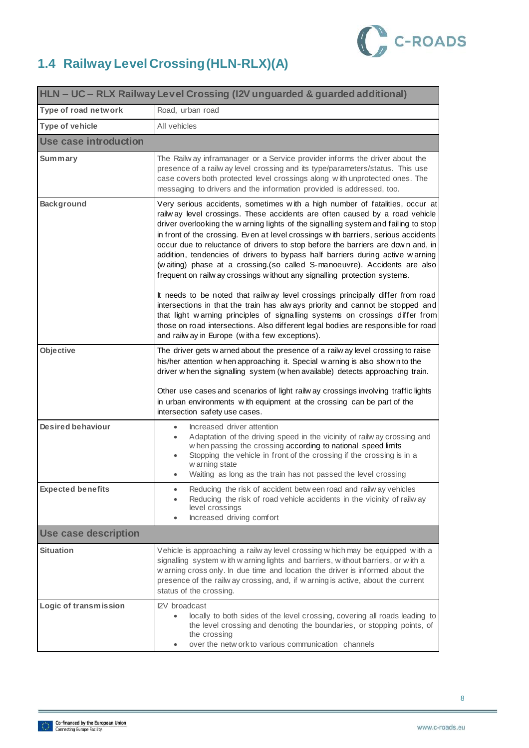

## <span id="page-8-0"></span>**1.4 Railway Level Crossing (HLN-RLX)(A)**

| HLN - UC - RLX Railway Level Crossing (I2V unguarded & guarded additional) |                                                                                                                                                                                                                                                                                                                                                                                                                                                                                                                                                                                                                                                                                                                                                                                                                                                                                                                          |  |
|----------------------------------------------------------------------------|--------------------------------------------------------------------------------------------------------------------------------------------------------------------------------------------------------------------------------------------------------------------------------------------------------------------------------------------------------------------------------------------------------------------------------------------------------------------------------------------------------------------------------------------------------------------------------------------------------------------------------------------------------------------------------------------------------------------------------------------------------------------------------------------------------------------------------------------------------------------------------------------------------------------------|--|
| Type of road network                                                       | Road, urban road                                                                                                                                                                                                                                                                                                                                                                                                                                                                                                                                                                                                                                                                                                                                                                                                                                                                                                         |  |
| <b>Type of vehicle</b>                                                     | All vehicles                                                                                                                                                                                                                                                                                                                                                                                                                                                                                                                                                                                                                                                                                                                                                                                                                                                                                                             |  |
| Use case introduction                                                      |                                                                                                                                                                                                                                                                                                                                                                                                                                                                                                                                                                                                                                                                                                                                                                                                                                                                                                                          |  |
| Summary                                                                    | The Railw ay inframanager or a Service provider informs the driver about the<br>presence of a railw ay level crossing and its type/parameters/status. This use<br>case covers both protected level crossings along with unprotected ones. The<br>messaging to drivers and the information provided is addressed, too.                                                                                                                                                                                                                                                                                                                                                                                                                                                                                                                                                                                                    |  |
| <b>Background</b>                                                          | Very serious accidents, sometimes with a high number of fatalities, occur at<br>railway level crossings. These accidents are often caused by a road vehicle<br>driver overlooking the warning lights of the signalling system and failing to stop<br>in front of the crossing. Even at level crossings with barriers, serious accidents<br>occur due to reluctance of drivers to stop before the barriers are down and, in<br>addition, tendencies of drivers to bypass half barriers during active warning<br>(waiting) phase at a crossing.(so called S-manoeuvre). Accidents are also<br>frequent on railw ay crossings without any signalling protection systems.<br>It needs to be noted that railway level crossings principally differ from road<br>intersections in that the train has always priority and cannot be stopped and<br>that light warning principles of signalling systems on crossings differ from |  |
|                                                                            | those on road intersections. Also different legal bodies are responsible for road<br>and railw ay in Europe (with a few exceptions).                                                                                                                                                                                                                                                                                                                                                                                                                                                                                                                                                                                                                                                                                                                                                                                     |  |
| Objective                                                                  | The driver gets w arned about the presence of a railw ay level crossing to raise<br>his/her attention when approaching it. Special warning is also shown to the<br>driver w hen the signalling system (w hen available) detects approaching train.<br>Other use cases and scenarios of light railw ay crossings involving traffic lights<br>in urban environments with equipment at the crossing can be part of the<br>intersection safety use cases.                                                                                                                                                                                                                                                                                                                                                                                                                                                                    |  |
| <b>Desired behaviour</b>                                                   | Increased driver attention<br>$\bullet$<br>Adaptation of the driving speed in the vicinity of railw ay crossing and<br>w hen passing the crossing according to national speed limits<br>Stopping the vehicle in front of the crossing if the crossing is in a<br>w arning state<br>Waiting as long as the train has not passed the level crossing                                                                                                                                                                                                                                                                                                                                                                                                                                                                                                                                                                        |  |
| <b>Expected benefits</b>                                                   | Reducing the risk of accident betw een road and railw ay vehicles<br>Reducing the risk of road vehicle accidents in the vicinity of railway<br>level crossings<br>Increased driving comfort                                                                                                                                                                                                                                                                                                                                                                                                                                                                                                                                                                                                                                                                                                                              |  |
| <b>Use case description</b>                                                |                                                                                                                                                                                                                                                                                                                                                                                                                                                                                                                                                                                                                                                                                                                                                                                                                                                                                                                          |  |
| <b>Situation</b>                                                           | Vehicle is approaching a railw ay level crossing which may be equipped with a<br>signalling system with w arning lights and barriers, without barriers, or with a<br>w arning cross only. In due time and location the driver is informed about the<br>presence of the railw ay crossing, and, if w arning is active, about the current<br>status of the crossing.                                                                                                                                                                                                                                                                                                                                                                                                                                                                                                                                                       |  |
| Logic of transmission                                                      | I2V broadcast<br>locally to both sides of the level crossing, covering all roads leading to<br>the level crossing and denoting the boundaries, or stopping points, of<br>the crossing<br>over the netw ork to various communication channels                                                                                                                                                                                                                                                                                                                                                                                                                                                                                                                                                                                                                                                                             |  |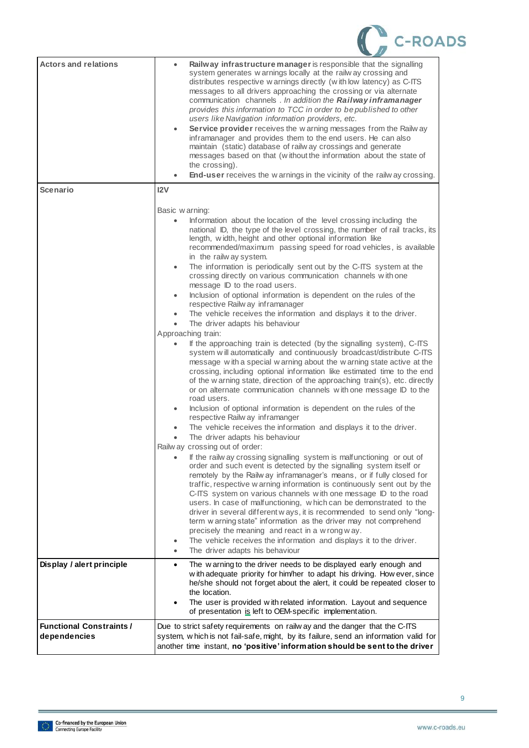

| <b>Actors and relations</b>    | Railway infrastructure manager is responsible that the signalling<br>$\bullet$<br>system generates w arnings locally at the railw ay crossing and<br>distributes respective w arnings directly (with low latency) as C-ITS<br>messages to all drivers approaching the crossing or via alternate<br>communication channels . In addition the Railway inframanager<br>provides this information to TCC in order to be published to other<br>users like Navigation information providers, etc.<br>Service provider receives the warning messages from the Railway<br>$\bullet$<br>inframanager and provides them to the end users. He can also<br>maintain (static) database of railw ay crossings and generate<br>messages based on that (without the information about the state of<br>the crossing).<br>End-user receives the w arnings in the vicinity of the railw ay crossing. |
|--------------------------------|-----------------------------------------------------------------------------------------------------------------------------------------------------------------------------------------------------------------------------------------------------------------------------------------------------------------------------------------------------------------------------------------------------------------------------------------------------------------------------------------------------------------------------------------------------------------------------------------------------------------------------------------------------------------------------------------------------------------------------------------------------------------------------------------------------------------------------------------------------------------------------------|
| <b>Scenario</b>                | 12V                                                                                                                                                                                                                                                                                                                                                                                                                                                                                                                                                                                                                                                                                                                                                                                                                                                                               |
|                                |                                                                                                                                                                                                                                                                                                                                                                                                                                                                                                                                                                                                                                                                                                                                                                                                                                                                                   |
|                                | Basic warning:                                                                                                                                                                                                                                                                                                                                                                                                                                                                                                                                                                                                                                                                                                                                                                                                                                                                    |
|                                | Information about the location of the level crossing including the<br>$\bullet$<br>national ID, the type of the level crossing, the number of rail tracks, its<br>length, width, height and other optional information like<br>recommended/maximum passing speed for road vehicles, is available<br>in the railw ay system.                                                                                                                                                                                                                                                                                                                                                                                                                                                                                                                                                       |
|                                | The information is periodically sent out by the C-ITS system at the<br>$\bullet$<br>crossing directly on various communication channels with one<br>message ID to the road users.                                                                                                                                                                                                                                                                                                                                                                                                                                                                                                                                                                                                                                                                                                 |
|                                | Inclusion of optional information is dependent on the rules of the<br>$\bullet$                                                                                                                                                                                                                                                                                                                                                                                                                                                                                                                                                                                                                                                                                                                                                                                                   |
|                                | respective Railw ay inframanager                                                                                                                                                                                                                                                                                                                                                                                                                                                                                                                                                                                                                                                                                                                                                                                                                                                  |
|                                | The vehicle receives the information and displays it to the driver.<br>The driver adapts his behaviour                                                                                                                                                                                                                                                                                                                                                                                                                                                                                                                                                                                                                                                                                                                                                                            |
|                                | Approaching train:                                                                                                                                                                                                                                                                                                                                                                                                                                                                                                                                                                                                                                                                                                                                                                                                                                                                |
|                                | If the approaching train is detected (by the signalling system), C-ITS<br>system will automatically and continuously broadcast/distribute C-ITS<br>message with a special w arning about the w arning state active at the<br>crossing, including optional information like estimated time to the end<br>of the w arning state, direction of the approaching train(s), etc. directly<br>or on alternate communication channels with one message ID to the                                                                                                                                                                                                                                                                                                                                                                                                                          |
|                                | road users.<br>Inclusion of optional information is dependent on the rules of the<br>$\bullet$<br>respective Railw ay inframanger                                                                                                                                                                                                                                                                                                                                                                                                                                                                                                                                                                                                                                                                                                                                                 |
|                                | The vehicle receives the information and displays it to the driver.                                                                                                                                                                                                                                                                                                                                                                                                                                                                                                                                                                                                                                                                                                                                                                                                               |
|                                | The driver adapts his behaviour                                                                                                                                                                                                                                                                                                                                                                                                                                                                                                                                                                                                                                                                                                                                                                                                                                                   |
|                                | Railw ay crossing out of order:<br>If the railw ay crossing signalling system is malfunctioning or out of<br>order and such event is detected by the signalling system itself or<br>remotely by the Railw ay inframanager's means, or if fully closed for<br>traffic, respective w arning information is continuously sent out by the<br>C-ITS system on various channels with one message ID to the road<br>users. In case of malfunctioning, which can be demonstrated to the<br>driver in several different ways, it is recommended to send only "long-<br>term w arning state" information as the driver may not comprehend<br>precisely the meaning and react in a w rong w ay.<br>The vehicle receives the information and displays it to the driver.<br>The driver adapts his behaviour<br>$\bullet$                                                                       |
| Display / alert principle      | The warning to the driver needs to be displayed early enough and<br>٠<br>w ith adequate priority for him/her to adapt his driving. How ever, since<br>he/she should not forget about the alert, it could be repeated closer to<br>the location.<br>The user is provided with related information. Layout and sequence<br>$\bullet$<br>of presentation is left to OEM-specific implementation.                                                                                                                                                                                                                                                                                                                                                                                                                                                                                     |
| <b>Functional Constraints/</b> | Due to strict safety requirements on railw ay and the danger that the C-ITS                                                                                                                                                                                                                                                                                                                                                                                                                                                                                                                                                                                                                                                                                                                                                                                                       |
| dependencies                   | system, which is not fail-safe, might, by its failure, send an information valid for<br>another time instant, no 'positive' information should be sent to the driver                                                                                                                                                                                                                                                                                                                                                                                                                                                                                                                                                                                                                                                                                                              |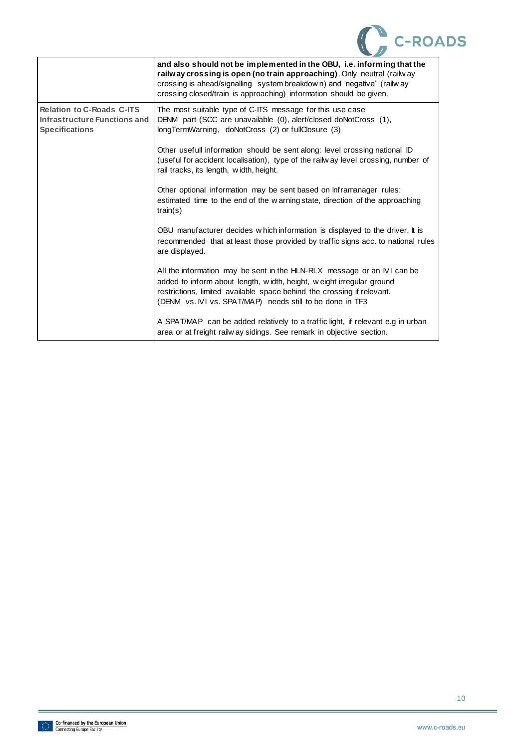

|                                                                                           | and also should not be implemented in the OBU, i.e. informing that the<br>railway crossing is open (no train approaching). Only neutral (railway<br>crossing is ahead/signalling system breakdow n) and 'negative' (railw ay<br>crossing closed/train is approaching) information should be given. |
|-------------------------------------------------------------------------------------------|----------------------------------------------------------------------------------------------------------------------------------------------------------------------------------------------------------------------------------------------------------------------------------------------------|
| <b>Relation to C-Roads C-ITS</b><br>Infrastructure Functions and<br><b>Specifications</b> | The most suitable type of C-ITS message for this use case<br>DENM part (SCC are unavailable (0), alert/closed doNotCross (1),<br>longTermWarning, doNotCross (2) or fullClosure (3)                                                                                                                |
|                                                                                           | Other usefull information should be sent along: level crossing national ID<br>(useful for accident localisation), type of the railw ay level crossing, number of<br>rail tracks, its length, width, height.                                                                                        |
|                                                                                           | Other optional information may be sent based on Inframanager rules:<br>estimated time to the end of the w arning state, direction of the approaching<br>train(s)                                                                                                                                   |
|                                                                                           | OBU manufacturer decides which information is displayed to the driver. It is<br>recommended that at least those provided by traffic signs acc. to national rules<br>are displayed.                                                                                                                 |
|                                                                                           | All the information may be sent in the HLN-RLX message or an IVI can be<br>added to inform about length, width, height, weight irregular ground<br>restrictions, limited available space behind the crossing if relevant.<br>(DENM vs. IVI vs. SPAT/MAP) needs still to be done in TF3             |
|                                                                                           | A SPAT/MAP can be added relatively to a traffic light, if relevant e.g in urban<br>area or at freight railw ay sidings. See remark in objective section.                                                                                                                                           |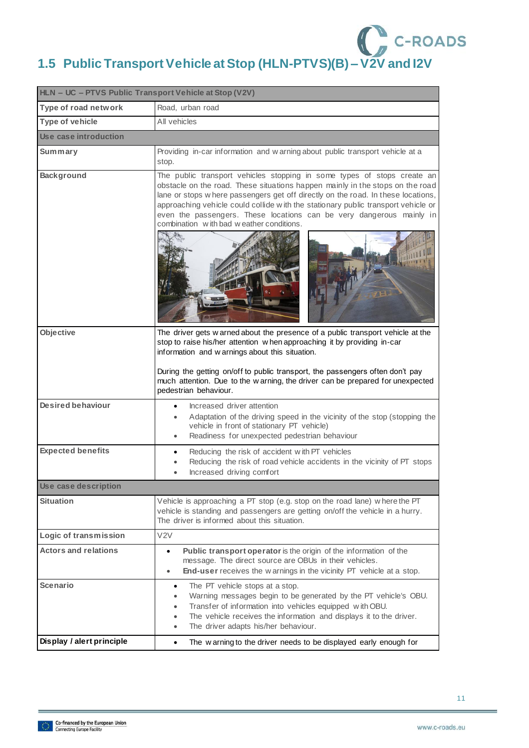# **1.5 Public Transport Vehicle at Stop (HLN-PTVS)(B) – V2V and I2V**

<span id="page-11-0"></span>

| HLN - UC - PTVS Public Transport Vehicle at Stop (V2V) |                                                                                                                                                                                                                                                                                                                                                                                                                                                        |  |
|--------------------------------------------------------|--------------------------------------------------------------------------------------------------------------------------------------------------------------------------------------------------------------------------------------------------------------------------------------------------------------------------------------------------------------------------------------------------------------------------------------------------------|--|
| Type of road network                                   | Road, urban road                                                                                                                                                                                                                                                                                                                                                                                                                                       |  |
| <b>Type of vehicle</b>                                 | All vehicles                                                                                                                                                                                                                                                                                                                                                                                                                                           |  |
| Use case introduction                                  |                                                                                                                                                                                                                                                                                                                                                                                                                                                        |  |
| Summary                                                | Providing in-car information and warning about public transport vehicle at a<br>stop.                                                                                                                                                                                                                                                                                                                                                                  |  |
| <b>Background</b>                                      | The public transport vehicles stopping in some types of stops create an<br>obstacle on the road. These situations happen mainly in the stops on the road<br>lane or stops w here passengers get off directly on the road. In these locations,<br>approaching vehicle could collide with the stationary public transport vehicle or<br>even the passengers. These locations can be very dangerous mainly in<br>combination with bad weather conditions. |  |
| Objective                                              | The driver gets w arned about the presence of a public transport vehicle at the<br>stop to raise his/her attention when approaching it by providing in-car<br>information and warnings about this situation.<br>During the getting on/off to public transport, the passengers often don't pay<br>much attention. Due to the w arning, the driver can be prepared for unexpected<br>pedestrian behaviour.                                               |  |
| <b>Desired behaviour</b>                               | Increased driver attention<br>Adaptation of the driving speed in the vicinity of the stop (stopping the<br>vehicle in front of stationary PT vehicle)<br>Readiness for unexpected pedestrian behaviour                                                                                                                                                                                                                                                 |  |
| <b>Expected benefits</b>                               | Reducing the risk of accident with PT vehicles<br>Reducing the risk of road vehicle accidents in the vicinity of PT stops<br>Increased driving comfort                                                                                                                                                                                                                                                                                                 |  |
| Use case description                                   |                                                                                                                                                                                                                                                                                                                                                                                                                                                        |  |
| Situation                                              | Vehicle is approaching a PT stop (e.g. stop on the road lane) where the PT<br>vehicle is standing and passengers are getting on/off the vehicle in a hurry.<br>The driver is informed about this situation.                                                                                                                                                                                                                                            |  |
| Logic of transmission                                  | V <sub>2V</sub>                                                                                                                                                                                                                                                                                                                                                                                                                                        |  |
| <b>Actors and relations</b>                            | Public transport operator is the origin of the information of the<br>$\bullet$<br>message. The direct source are OBUs in their vehicles.<br>End-user receives the w arnings in the vicinity PT vehicle at a stop.<br>۰                                                                                                                                                                                                                                 |  |
| <b>Scenario</b>                                        | The PT vehicle stops at a stop.<br>$\bullet$<br>Warning messages begin to be generated by the PT vehicle's OBU.<br>Transfer of information into vehicles equipped with OBU.<br>The vehicle receives the information and displays it to the driver.<br>The driver adapts his/her behaviour.<br>$\bullet$                                                                                                                                                |  |
| Display / alert principle                              | The warning to the driver needs to be displayed early enough for<br>$\bullet$                                                                                                                                                                                                                                                                                                                                                                          |  |

11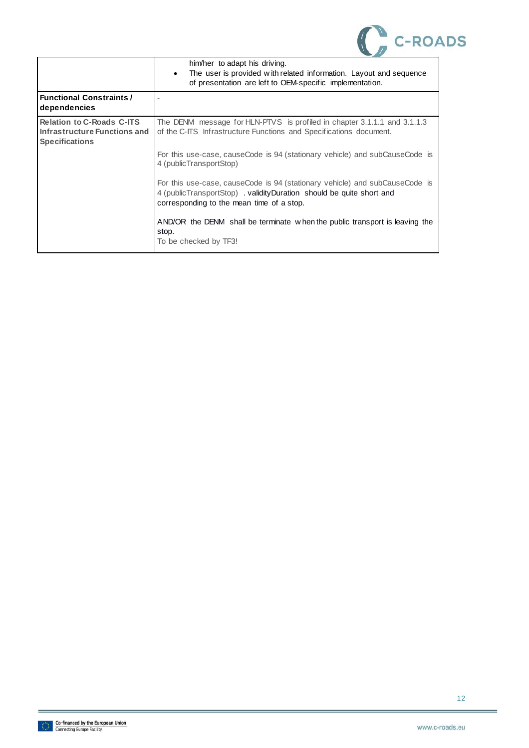

|                                                                                           | him/her to adapt his driving.<br>The user is provided with related information. Layout and sequence<br>٠<br>of presentation are left to OEM-specific implementation.                             |
|-------------------------------------------------------------------------------------------|--------------------------------------------------------------------------------------------------------------------------------------------------------------------------------------------------|
| <b>Functional Constraints /</b><br>dependencies                                           |                                                                                                                                                                                                  |
| <b>Relation to C-Roads C-ITS</b><br>Infrastructure Functions and<br><b>Specifications</b> | The DENM message for HLN-PTVS is profiled in chapter 3.1.1.1 and 3.1.1.3<br>of the C-ITS Infrastructure Functions and Specifications document.                                                   |
|                                                                                           | For this use-case, causeCode is 94 (stationary vehicle) and subCauseCode is<br>4 (public TransportStop)                                                                                          |
|                                                                                           | For this use-case, causeCode is 94 (stationary vehicle) and subCauseCode is<br>4 (publicTransportStop) . validityDuration should be quite short and<br>corresponding to the mean time of a stop. |
|                                                                                           | AND/OR the DENM shall be terminate when the public transport is leaving the<br>stop.<br>To be checked by TF3!                                                                                    |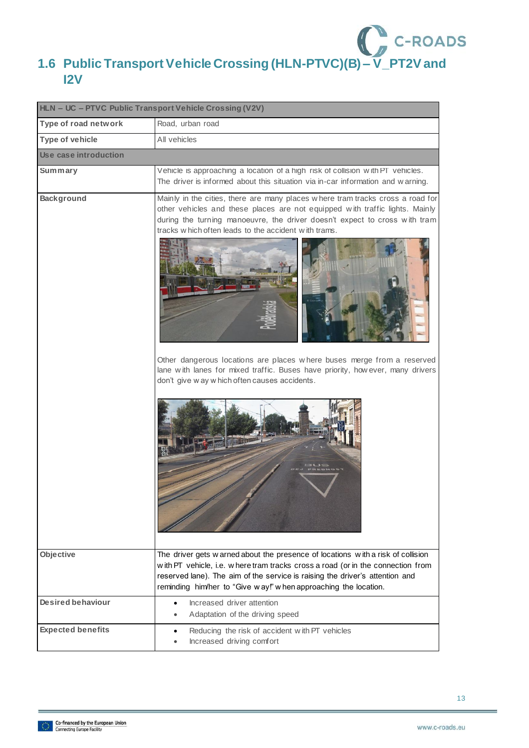

# <span id="page-13-0"></span>**1.6 Public Transport Vehicle Crossing (HLN-PTVC)(B) – V\_PT2V and I2V**

| HLN - UC - PTVC Public Transport Vehicle Crossing (V2V) |                                                                                                                                                                                                                                                                                                                                                                                                                                                                                                                    |  |
|---------------------------------------------------------|--------------------------------------------------------------------------------------------------------------------------------------------------------------------------------------------------------------------------------------------------------------------------------------------------------------------------------------------------------------------------------------------------------------------------------------------------------------------------------------------------------------------|--|
| Type of road network                                    | Road, urban road                                                                                                                                                                                                                                                                                                                                                                                                                                                                                                   |  |
| <b>Type of vehicle</b>                                  | All vehicles                                                                                                                                                                                                                                                                                                                                                                                                                                                                                                       |  |
| Use case introduction                                   |                                                                                                                                                                                                                                                                                                                                                                                                                                                                                                                    |  |
| Summary                                                 | Vehicle is approaching a location of a high risk of collision with PT vehicles.<br>The driver is informed about this situation via in-car information and warning.                                                                                                                                                                                                                                                                                                                                                 |  |
| <b>Background</b>                                       | Mainly in the cities, there are many places where tram tracks cross a road for<br>other vehicles and these places are not equipped with traffic lights. Mainly<br>during the turning manoeuvre, the driver doesn't expect to cross with tram<br>tracks which often leads to the accident with trams.<br>Other dangerous locations are places where buses merge from a reserved<br>lane with lanes for mixed traffic. Buses have priority, how ever, many drivers<br>don't give w ay w hich often causes accidents. |  |
| Objective                                               | The driver gets w arned about the presence of locations with a risk of collision<br>with PT vehicle, i.e. where tram tracks cross a road (or in the connection from<br>reserved lane). The aim of the service is raising the driver's attention and<br>reminding him/her to "Give way!" when approaching the location.                                                                                                                                                                                             |  |
| <b>Desired behaviour</b>                                | Increased driver attention<br>Adaptation of the driving speed                                                                                                                                                                                                                                                                                                                                                                                                                                                      |  |
| <b>Expected benefits</b>                                | Reducing the risk of accident with PT vehicles<br>Increased driving comfort                                                                                                                                                                                                                                                                                                                                                                                                                                        |  |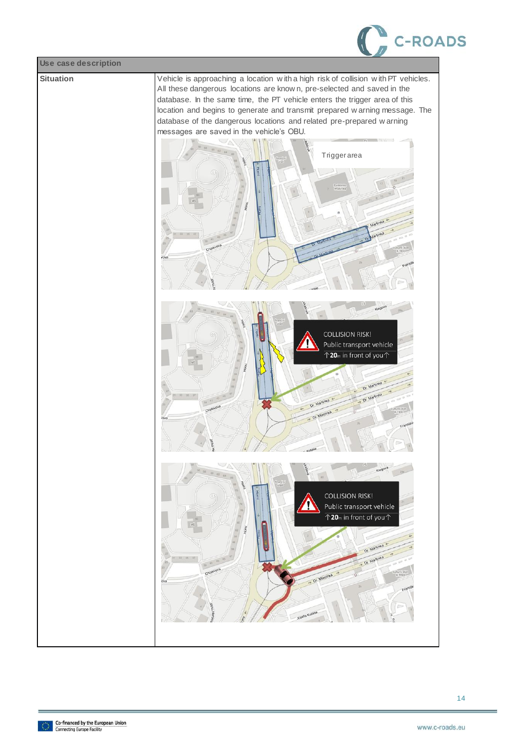